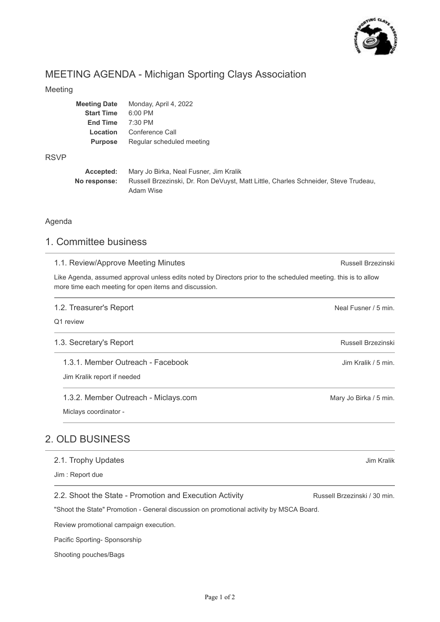

# MEETING AGENDA - Michigan Sporting Clays Association

#### Meeting

| <b>Meeting Date</b>         | Monday, April 4, 2022     |
|-----------------------------|---------------------------|
| <b>Start Time</b>           | $6:00$ PM                 |
| <b>End Time</b>             | $7:30$ PM                 |
| Conference Call<br>Location |                           |
| <b>Purpose</b>              | Regular scheduled meeting |
|                             |                           |

#### RSVP

| Accepted:    | Mary Jo Birka, Neal Fusner, Jim Kralik                                              |  |
|--------------|-------------------------------------------------------------------------------------|--|
| No response: | Russell Brzezinski, Dr. Ron DeVuyst, Matt Little, Charles Schneider, Steve Trudeau, |  |
|              | Adam Wise                                                                           |  |

#### Agenda

# 1. Committee business

| 1.1. Review/Approve Meeting Minutes                                                                                                                                     | Russell Brzezinski           |
|-------------------------------------------------------------------------------------------------------------------------------------------------------------------------|------------------------------|
| Like Agenda, assumed approval unless edits noted by Directors prior to the scheduled meeting. this is to allow<br>more time each meeting for open items and discussion. |                              |
| 1.2. Treasurer's Report                                                                                                                                                 | Neal Fusner / 5 min.         |
| Q1 review                                                                                                                                                               |                              |
| 1.3. Secretary's Report                                                                                                                                                 | Russell Brzezinski           |
| 1.3.1. Member Outreach - Facebook                                                                                                                                       | Jim Kralik / 5 min.          |
| Jim Kralik report if needed                                                                                                                                             |                              |
| 1.3.2. Member Outreach - Miclays.com                                                                                                                                    | Mary Jo Birka / 5 min.       |
| Miclays coordinator -                                                                                                                                                   |                              |
| <b>2. OLD BUSINESS</b>                                                                                                                                                  |                              |
| 2.1. Trophy Updates                                                                                                                                                     | Jim Kralik                   |
| Jim: Report due                                                                                                                                                         |                              |
| 2.2. Shoot the State - Promotion and Execution Activity                                                                                                                 | Russell Brzezinski / 30 min. |
| "Shoot the State" Promotion - General discussion on promotional activity by MSCA Board.                                                                                 |                              |

Review promotional campaign execution.

Pacific Sporting- Sponsorship

Shooting pouches/Bags